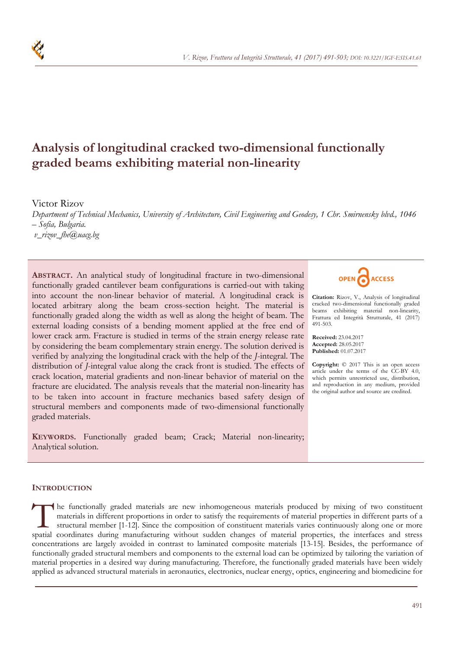

# **Analysis of longitudinal cracked two-dimensional functionally graded beams exhibiting material non-linearity**

Victor Rizov

*Department of Technical Mechanics, University of Architecture, Civil Engineering and Geodesy, 1 Chr. Smirnensky blvd., 1046 – Sofia, Bulgaria. v\_rizov\_fhe@uacg.bg* 

**ABSTRACT.** An analytical study of longitudinal fracture in two-dimensional functionally graded cantilever beam configurations is carried-out with taking into account the non-linear behavior of material. A longitudinal crack is located arbitrary along the beam cross-section height. The material is functionally graded along the width as well as along the height of beam. The external loading consists of a bending moment applied at the free end of lower crack arm. Fracture is studied in terms of the strain energy release rate by considering the beam complementary strain energy. The solution derived is verified by analyzing the longitudinal crack with the help of the *J*-integral. The distribution of *J*-integral value along the crack front is studied. The effects of crack location, material gradients and non-linear behavior of material on the fracture are elucidated. The analysis reveals that the material non-linearity has to be taken into account in fracture mechanics based safety design of structural members and components made of two-dimensional functionally graded materials.

**KEYWORDS.** Functionally graded beam; Crack; Material non-linearity; Analytical solution.



**Citation:** Rizov, V., Analysis of longitudinal cracked two-dimensional functionally graded beams exhibiting material non-linearity, Frattura ed Integrità Strutturale, 41 (2017) 491-503.

**Received:** 23.04.2017 **Accepted:** 28.05.2017 **Published:** 01.07.2017

**Copyright:** © 2017 This is an open access article under the terms of the CC-BY 4.0, which permits unrestricted use, distribution, and reproduction in any medium, provided the original author and source are credited.

## **INTRODUCTION**

he functionally graded materials are new inhomogeneous materials produced by mixing of two constituent materials in different proportions in order to satisfy the requirements of material properties in different parts of a structural member [1-12]. Since the composition of constituent materials varies continuously along one or more The functionally graded materials are new inhomogeneous materials produced by mixing of two constituent materials in different proportions in order to satisfy the requirements of material properties in different parts of a concentrations are largely avoided in contrast to laminated composite materials [13-15]. Besides, the performance of functionally graded structural members and components to the external load can be optimized by tailoring the variation of material properties in a desired way during manufacturing. Therefore, the functionally graded materials have been widely applied as advanced structural materials in aeronautics, electronics, nuclear energy, optics, engineering and biomedicine for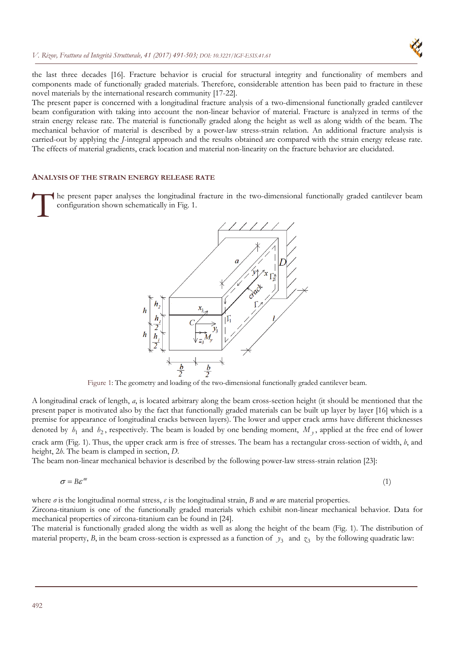

the last three decades [16]. Fracture behavior is crucial for structural integrity and functionality of members and components made of functionally graded materials. Therefore, considerable attention has been paid to fracture in these novel materials by the international research community [17-22].

The present paper is concerned with a longitudinal fracture analysis of a two-dimensional functionally graded cantilever beam configuration with taking into account the non-linear behavior of material. Fracture is analyzed in terms of the strain energy release rate. The material is functionally graded along the height as well as along width of the beam. The mechanical behavior of material is described by a power-law stress-strain relation. An additional fracture analysis is carried-out by applying the *J*-integral approach and the results obtained are compared with the strain energy release rate. The effects of material gradients, crack location and material non-linearity on the fracture behavior are elucidated.

#### **ANALYSIS OF THE STRAIN ENERGY RELEASE RATE**

he present paper analyses the longitudinal fracture in the two-dimensional functionally graded cantilever beam configuration shown schematically in Fig. 1.  $\int_{0}^{\infty}$ 



Figure 1: The geometry and loading of the two-dimensional functionally graded cantilever beam.

A longitudinal crack of length, *a*, is located arbitrary along the beam cross-section height (it should be mentioned that the present paper is motivated also by the fact that functionally graded materials can be built up layer by layer [16] which is a premise for appearance of longitudinal cracks between layers). The lower and upper crack arms have different thicknesses denoted by  $h_1$  and  $h_2$ , respectively. The beam is loaded by one bending moment,  $M<sub>y</sub>$ , applied at the free end of lower crack arm (Fig. 1). Thus, the upper crack arm is free of stresses. The beam has a rectangular cross-section of width, *b*, and

height, 2*h*. The beam is clamped in section, *D*.

The beam non-linear mechanical behavior is described by the following power-law stress-strain relation [23]:

$$
\sigma = B\varepsilon^m \tag{1}
$$

where *σ* is the longitudinal normal stress, *ε* is the longitudinal strain, *B* and *m* are material properties.

Zircona-titanium is one of the functionally graded materials which exhibit non-linear mechanical behavior. Data for mechanical properties of zircona-titanium can be found in [24].

The material is functionally graded along the width as well as along the height of the beam (Fig. 1). The distribution of material property, *B*, in the beam cross-section is expressed as a function of  $y_3$  and  $z_3$  by the following quadratic law: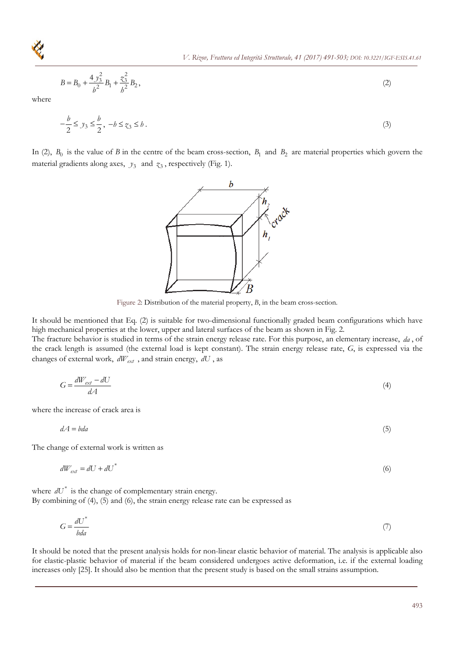$$
B = B_0 + \frac{4y_3^2}{b^2}B_1 + \frac{z_3^2}{b^2}B_2,
$$
\t(2)

where

$$
-\frac{b}{2} \leq y_3 \leq \frac{b}{2}, \ -b \leq z_3 \leq b \tag{3}
$$

In (2),  $B_0$  is the value of *B* in the centre of the beam cross-section,  $B_1$  and  $B_2$  are material properties which govern the material gradients along axes,  $y_3$  and  $z_3$ , respectively (Fig. 1).

Figure 2: Distribution of the material property, *B*, in the beam cross-section.

It should be mentioned that Eq. (2) is suitable for two-dimensional functionally graded beam configurations which have high mechanical properties at the lower, upper and lateral surfaces of the beam as shown in Fig. 2.

The fracture behavior is studied in terms of the strain energy release rate. For this purpose, an elementary increase, *da* , of the crack length is assumed (the external load is kept constant). The strain energy release rate, *G*, is expressed via the changes of external work,  $dW_{ext}$ , and strain energy,  $dU$ , as

$$
G = \frac{dW_{ext} - dU}{dA} \tag{4}
$$

where the increase of crack area is

 $dA = bda$  (5)

The change of external work is written as

$$
dW_{ext} = dU + dU^* \tag{6}
$$

where  $dU^*$  is the change of complementary strain energy. By combining of (4), (5) and (6), the strain energy release rate can be expressed as

$$
G = \frac{dU^*}{bda} \tag{7}
$$

It should be noted that the present analysis holds for non-linear elastic behavior of material. The analysis is applicable also for elastic-plastic behavior of material if the beam considered undergoes active deformation, i.e. if the external loading increases only [25]. It should also be mention that the present study is based on the small strains assumption.



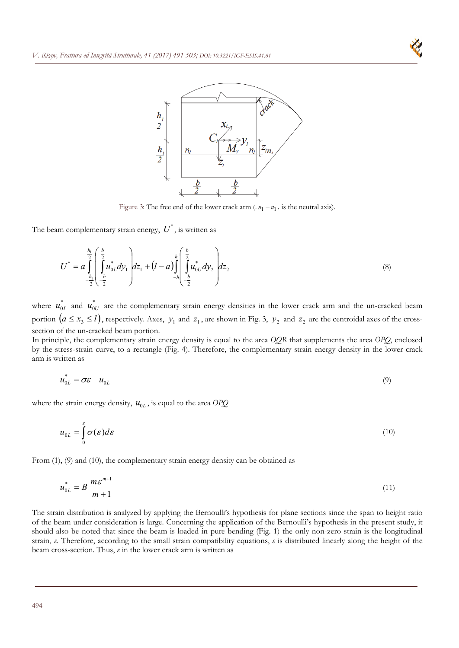



Figure 3: The free end of the lower crack arm  $(n_1 - n_1)$  is the neutral axis).

The beam complementary strain energy,  $U^*$ , is written as

$$
U^* = a \int_{-\frac{h_1}{2}}^{\frac{h_1}{2}} \left( \int_{-\frac{b}{2}}^{\frac{b}{2}} u_{0L}^* dy_1 \right) dz_1 + (l - a) \int_{-h}^h \left( \int_{-\frac{b}{2}}^{\frac{b}{2}} u_{0U}^* dy_2 \right) dz_2 \tag{8}
$$

where  $u_{0L}^*$  and  $u_{0U}^*$  are the complementary strain energy densities in the lower crack arm and the un-cracked beam portion  $(a \le x_3 \le l)$ , respectively. Axes,  $y_1$  and  $z_1$ , are shown in Fig. 3,  $y_2$  and  $z_2$  are the centroidal axes of the crosssection of the un-cracked beam portion.

In principle, the complementary strain energy density is equal to the area *OQR* that supplements the area *OPQ*, enclosed by the stress-strain curve, to a rectangle (Fig. 4). Therefore, the complementary strain energy density in the lower crack arm is written as

$$
u_{0L}^* = \sigma \varepsilon - u_{0L} \tag{9}
$$

where the strain energy density,  $u_{0L}$ , is equal to the area *OPQ* 

$$
u_{0L} = \int_{0}^{\varepsilon} \sigma(\varepsilon) d\varepsilon \tag{10}
$$

From (1), (9) and (10), the complementary strain energy density can be obtained as

$$
u_{0L}^* = B \frac{m \varepsilon^{m+1}}{m+1} \tag{11}
$$

The strain distribution is analyzed by applying the Bernoulli's hypothesis for plane sections since the span to height ratio of the beam under consideration is large. Concerning the application of the Bernoulli's hypothesis in the present study, it should also be noted that since the beam is loaded in pure bending (Fig. 1) the only non-zero strain is the longitudinal strain, *ε*. Therefore, according to the small strain compatibility equations, *ε* is distributed linearly along the height of the beam cross-section. Thus, *ε* in the lower crack arm is written as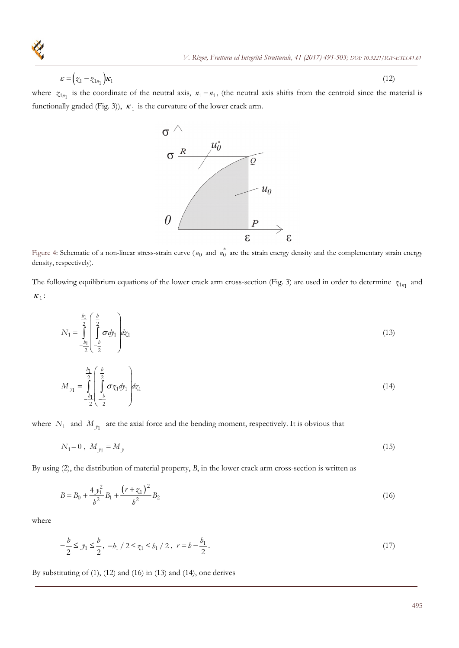$$
\varepsilon = \left(\zeta_1 - \zeta_{1n_1}\right) \kappa_1 \tag{12}
$$

where  $z_{1n_1}$  is the coordinate of the neutral axis,  $n_1 - n_1$ , (the neutral axis shifts from the centroid since the material is functionally graded (Fig. 3)),  $\kappa_1$  is the curvature of the lower crack arm.



Figure 4: Schematic of a non-linear stress-strain curve ( $u_0$  and  $u_0^*$  are the strain energy density and the complementary strain energy density, respectively).

The following equilibrium equations of the lower crack arm cross-section (Fig. 3) are used in order to determine  $z_{1n_1}$  and  $\kappa_1$ :

$$
N_1 = \int_{-\frac{b_1}{2}}^{\frac{b_1}{2}} \left( \int_{-\frac{b}{2}}^{\frac{b}{2}} \sigma \, dy_1 \right) dz_1 \tag{13}
$$

$$
M_{y_1} = \int_{-\frac{b_1}{2}}^{\frac{b_1}{2}} \left( \int_{-\frac{b}{2}}^{\frac{b}{2}} \sigma z_1 dy_1 \right) dz_1 \tag{14}
$$

where  $N_1$  and  $M_{y_1}$  are the axial force and the bending moment, respectively. It is obvious that

$$
N_1 = 0 \,, \ M_{y_1} = M_y \tag{15}
$$

By using (2), the distribution of material property, *B*, in the lower crack arm cross-section is written as

$$
B = B_0 + \frac{4y_1^2}{b^2}B_1 + \frac{(r + z_1)^2}{b^2}B_2
$$
\n(16)

where

$$
-\frac{b}{2} \le y_1 \le \frac{b}{2}, -b_1 / 2 \le z_1 \le b_1 / 2, r = b - \frac{b_1}{2}.
$$
\n<sup>(17)</sup>

By substituting of (1), (12) and (16) in (13) and (14), one derives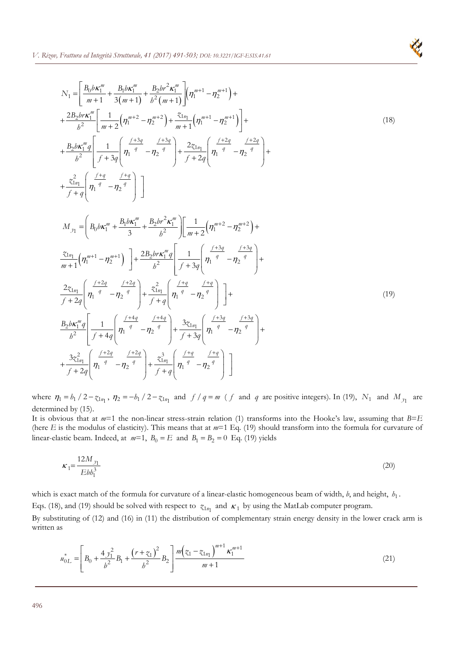$$
N_{1} = \left[ \frac{B_{0}b\kappa_{1}^{m}}{m+1} + \frac{B_{1}b\kappa_{1}^{m}}{3(m+1)} + \frac{B_{2}b\kappa_{2}^{m}}{b^{2}(m+1)} \right] \left( \eta_{1}^{m+1} - \eta_{2}^{m+1} \right) +
$$
  
\n
$$
+ \frac{2B_{2}b\kappa_{1}^{m}}{b^{2}} \left[ \frac{1}{m+2} \left( \eta_{1}^{m+2} - \eta_{2}^{m+2} \right) + \frac{z_{1n}}{m+1} \left( \eta_{1}^{m+1} - \eta_{2}^{m+1} \right) \right] +
$$
  
\n
$$
+ \frac{B_{2}b\kappa_{1}^{m}}{b^{2}} \left[ \frac{1}{f+3g} \left( \eta_{1}^{f+3g} - \eta_{2}^{f+3g} \right) + \frac{2z_{1n}}{f+2g} \left( \eta_{1}^{f+2g} - \eta_{2}^{f+2g} \right) +
$$
  
\n
$$
+ \frac{z_{1n}}{f+g} \left( \eta_{1}^{f+g} - \eta_{2}^{f+g} \right) \right]
$$
  
\n
$$
M_{\jmath1} = \left( B_{0}b\kappa_{1}^{m} + \frac{B_{1}b\kappa_{1}^{m}}{3} + \frac{B_{2}b\kappa_{2}^{2}\kappa_{1}^{m}}{b^{2}} \right) \left[ \frac{1}{m+2} \left( \eta_{1}^{m+2} - \eta_{2}^{m+2} \right) +
$$
  
\n
$$
\frac{z_{1n_{1}}}{m+1} \left( \eta_{1}^{m+1} - \eta_{2}^{m+1} \right) \right] + \frac{2B_{2}b\kappa_{1}^{m}g}{b^{2}} \left[ \frac{1}{f+3g} \left( \eta_{1}^{f+3g} - \eta_{2}^{f+3g} \right) +
$$
  
\n
$$
\frac{2z_{1n_{1}}}{f+2g} \left( \eta_{1}^{f+2g} - \eta_{2}^{f+2g} \right) + \frac{z_{1n_{1}}^{2}}{f+g} \left( \eta_{1}^{f+3g} - \eta
$$

where  $\eta_1 = b_1 / 2 - \chi_{1n_1}$ ,  $\eta_2 = -b_1 / 2 - \chi_{1n_1}$  and  $f / q = m$  (*f* and *q* are positive integers). In (19),  $N_1$  and  $M_{y_1}$  are determined by (15).

It is obvious that at  $m=1$  the non-linear stress-strain relation (1) transforms into the Hooke's law, assuming that  $B=E$ (here *E* is the modulus of elasticity). This means that at *m*=1 Eq. (19) should transform into the formula for curvature of linear-elastic beam. Indeed, at  $m=1$ ,  $B_0 = E$  and  $B_1 = B_2 = 0$  Eq. (19) yields

$$
\kappa_1 = \frac{12M_{y_1}}{Ebb_1^3} \tag{20}
$$

which is exact match of the formula for curvature of a linear-elastic homogeneous beam of width, *b*, and height,  $h_1$ . Eqs. (18), and (19) should be solved with respect to  $z_{1n_1}$  and  $\kappa_1$  by using the MatLab computer program.

By substituting of (12) and (16) in (11) the distribution of complementary strain energy density in the lower crack arm is written as

$$
u_{0L}^* = \left[ B_0 + \frac{4y_1^2}{b^2} B_1 + \frac{\left(r + z_1\right)^2}{b^2} B_2 \right] \frac{m \left(z_1 - z_{1n_1}\right)^{m+1} \kappa_1^{m+1}}{m+1} \tag{21}
$$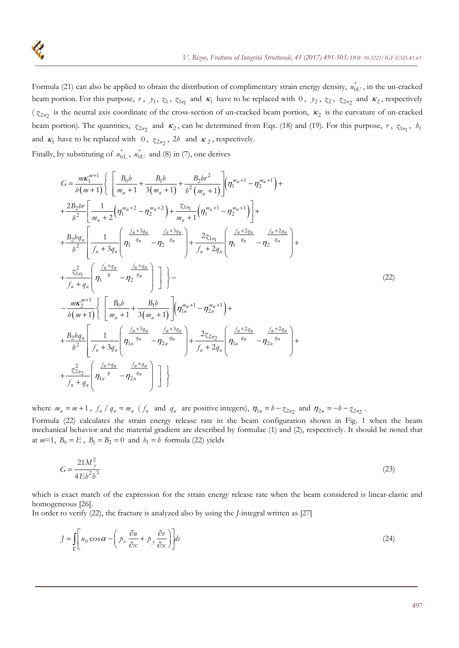Formula (21) can also be applied to obtain the distribution of complimentary strain energy density,  $u_{0U}^*$ , in the un-cracked beam portion. For this purpose,  $r$ ,  $y_1$ ,  $z_1$ ,  $z_{1n_1}$  and  $\kappa_1$  have to be replaced with 0,  $y_2$ ,  $z_2$ ,  $z_{2n_2}$  and  $\kappa_2$ , respectively ( $z_{2n2}$  is the neutral axis coordinate of the cross-section of un-cracked beam portion,  $\kappa_2$  is the curvature of un-cracked beam portion). The quantities,  $z_{2n_2}$  and  $\kappa_2$ , can be determined from Eqs. (18) and (19). For this purpose, *r*,  $z_{1n_1}$ ,  $b_1$ and  $\kappa_1$  have to be replaced with 0,  $z_{2n_2}$ , 2*h* and  $\kappa_2$ , respectively.

Finally, by substituting of  $u_{0L}^*$ ,  $u_{0U}^*$  and (8) in (7), one derives

$$
G = \frac{m\kappa_1^{m+1}}{b(m+1)} \Biggl\{ \frac{B_0b}{m_0+1} + \frac{B_1b}{3(m_0+1)} + \frac{B_2b r^2}{b^2(m_0+1)} \Biggl[ (\eta_1^{m_0+1} - \eta_2^{m_0+1}) +
$$
  
+ 
$$
\frac{2B_2br}{b^2} \Biggl[ \frac{1}{m_0+2} (\eta_1^{m_0+2} - \eta_2^{m_0+2}) + \frac{z_{1n_1}}{m_0+1} (\eta_1^{m_0+1} - \eta_2^{m_0+1}) \Biggr] +
$$
  
+ 
$$
\frac{B_2bq_u}{b^2} \Biggl[ \frac{1}{f_u+3q_u} \Biggl( \eta_1^{\frac{f_u+3q_u}{q_u}} - \eta_2^{\frac{f_u+3q_u}{q_u}} \Biggr) + \frac{2z_{1n_1}}{f_u+2q_u} \Biggl( \eta_1^{\frac{f_u+2q_u}{q_u}} - \eta_2^{\frac{f_u+2q_u}{q_u}} \Biggr) +
$$
  
+ 
$$
\frac{z_{1n_1}^2}{f_u+q_u} \Biggl[ \eta_1^{\frac{f_u+q_u}{q_u}} - \eta_2^{\frac{f_u+q_u}{q_u}} \Biggr] \Biggr] \Biggr\} -
$$
  
- 
$$
\frac{m\kappa_2^{m+1}}{b(m+1)} \Biggl\{ \Biggl[ \frac{B_0b}{m_0+1} + \frac{B_1b}{3(m_0+1)} \Biggr] (\eta_1^{m_0+1} - \eta_{2n}^{m_0+1}) +
$$
  
+ 
$$
\frac{B_2bq_u}{b^2} \Biggl[ \frac{1}{f_u+3q_u} \Biggl( \eta_1^{\frac{f_u+3q_u}{q_u}} - \eta_2^{\frac{f_u+3q_u}{q_u}} \Biggr) + \frac{2z_{2n_2}}{f_u+2q_u} \Biggl( \eta_1^{\frac{f_u+2q_u}{q_u}} - \eta_2^{\frac{f_u+2q_u}{q_u}} \Biggr) +
$$
  
+ 
$$
\frac{z_{2n_2}^2}{f_u+q_u} \Biggl[ \eta_1^{\frac{f_u+q_u}{q_u}} - \eta_2^{\frac{f_u+q
$$

where  $m_u = m + 1$ ,  $f_u / q_u = m_u$  ( $f_u$  and  $q_u$  are positive integers),  $\eta_{1u} = b - z_{2n_2}$  and  $\eta_{2u} = -b - z_{2n_2}$ . Formula (22) calculates the strain energy release rate in the beam configuration shown in Fig. 1 when the beam mechanical behavior and the material gradient are described by formulae (1) and (2), respectively. It should be noted that at  $m=1$ ,  $B_0 = E$ ,  $B_1 = B_2 = 0$  and  $b_1 = b$  formula (22) yields

$$
G = \frac{21M_y^2}{4Eb^2b^3}
$$
 (23)

which is exact match of the expression for the strain energy release rate when the beam considered is linear-elastic and homogeneous [26].

In order to verify (22), the fracture is analyzed also by using the *J*-integral written as [27]

$$
J = \int_{\Gamma} \left[ u_0 \cos \alpha - \left( p_x \frac{\partial u}{\partial x} + p_y \frac{\partial v}{\partial x} \right) \right] ds \tag{24}
$$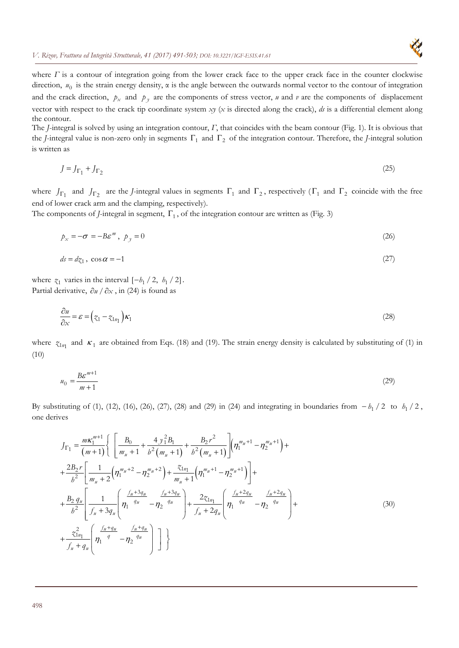

where  $\Gamma$  is a contour of integration going from the lower crack face to the upper crack face in the counter clockwise direction,  $u_0$  is the strain energy density,  $\alpha$  is the angle between the outwards normal vector to the contour of integration and the crack direction,  $p_x$  and  $p_y$  are the components of stress vector, *u* and *v* are the components of displacement vector with respect to the crack tip coordinate system *xy* (*x* is directed along the crack), *ds* is a differential element along the contour.

The *J*-integral is solved by using an integration contour, *Γ*, that coincides with the beam contour (Fig. 1). It is obvious that the *J*-integral value is non-zero only in segments  $\Gamma_1$  and  $\Gamma_2$  of the integration contour. Therefore, the *J*-integral solution is written as

$$
J = J_{\Gamma_1} + J_{\Gamma_2} \tag{25}
$$

where  $J_{\Gamma_1}$  and  $J_{\Gamma_2}$  are the *J*-integral values in segments  $\Gamma_1$  and  $\Gamma_2$ , respectively ( $\Gamma_1$  and  $\Gamma_2$  coincide with the free end of lower crack arm and the clamping, respectively).

The components of *J*-integral in segment,  $\Gamma_1$ , of the integration contour are written as (Fig. 3)

$$
p_x = -\sigma = -B\varepsilon^m, \ p_y = 0 \tag{26}
$$

$$
ds = dz_1, \cos \alpha = -1 \tag{27}
$$

where  $z_1$  varies in the interval  $[-b_1 / 2, b_1 / 2]$ . Partial derivative,  $\partial u / \partial x$ , in (24) is found as

$$
\frac{\partial u}{\partial x} = \varepsilon = \left( z_1 - z_{1n_1} \right) \kappa_1 \tag{28}
$$

where  $z_{1n_1}$  and  $\kappa_1$  are obtained from Eqs. (18) and (19). The strain energy density is calculated by substituting of (1) in (10)

$$
u_0 = \frac{B\varepsilon^{m+1}}{m+1} \tag{29}
$$

By substituting of (1), (12), (16), (26), (27), (28) and (29) in (24) and integrating in boundaries from  $-h_1/2$  to  $h_1/2$ , one derives

$$
J_{\Gamma_{1}} = \frac{m\kappa_{1}^{m+1}}{(m+1)} \Biggl\{ \left[ \frac{B_{0}}{m_{u}+1} + \frac{4 y_{1}^{2} B_{1}}{b^{2} (m_{u}+1)} + \frac{B_{2} r^{2}}{b^{2} (m_{u}+1)} \right] \Biggl( \eta_{1}^{m_{u}+1} - \eta_{2}^{m_{u}+1} \Biggr) +
$$
  
+ 
$$
\frac{2B_{2} r}{b^{2}} \Biggl[ \frac{1}{m_{u}+2} \Biggl( \eta_{1}^{m_{u}+2} - \eta_{2}^{m_{u}+2} \Biggr) + \frac{\tilde{\chi}_{1n_{1}}}{m_{u}+1} \Biggl( \eta_{1}^{m_{u}+1} - \eta_{2}^{m_{u}+1} \Biggr) \Biggr] +
$$
  
+ 
$$
\frac{B_{2} q_{u}}{b^{2}} \Biggl[ \frac{1}{f_{u}+3q_{u}} \Biggl( \eta_{1}^{\frac{f_{u}+3q_{u}}{q_{u}}}- \eta_{2}^{\frac{f_{u}+3q_{u}}{q_{u}}} \Biggr) + \frac{2\tilde{\chi}_{1n_{1}}}{f_{u}+2q_{u}} \Biggl( \eta_{1}^{\frac{f_{u}+2q_{u}}{q_{u}}}- \eta_{2}^{\frac{f_{u}+2q_{u}}{q_{u}}} \Biggr) +
$$
  
+ 
$$
\frac{\tilde{\chi}_{1n_{1}}^{2}}{f_{u}+q_{u}} \Biggl( \eta_{1}^{\frac{f_{u}+q_{u}}{q}} - \eta_{2}^{\frac{f_{u}+q_{u}}{q_{u}}} \Biggr) \Biggr] \Biggr\}
$$
(30)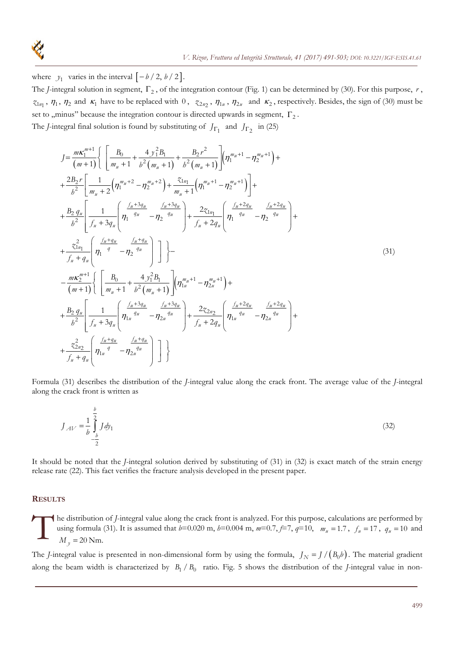

where  $y_1$  varies in the interval  $\left[ -b/2, b/2 \right]$ .

The *J*-integral solution in segment,  $\Gamma_2$ , of the integration contour (Fig. 1) can be determined by (30). For this purpose,  $r$ ,  $\tau_{1n_1}$ ,  $\eta_1$ ,  $\eta_2$  and  $\kappa_1$  have to be replaced with 0,  $\tau_{2n_2}$ ,  $\eta_{1u}$ ,  $\eta_{2u}$  and  $\kappa_2$ , respectively. Besides, the sign of (30) must be set to ,,minus" because the integration contour is directed upwards in segment,  $\Gamma_2$ . The *J*-integral final solution is found by substituting of  $J_{\Gamma_1}$  and  $J_{\Gamma_2}$  in (25)

$$
J = \frac{m\kappa_1^{m+1}}{(m+1)} \Biggl\{ \left[ \frac{B_0}{m_n+1} + \frac{4y_1^2B_1}{b^2(m_n+1)} + \frac{B_2r^2}{b^2(m_n+1)} \right] \left( \eta_1^{m_n+1} - \eta_2^{m_n+1} \right) + + \frac{2B_2r}{b^2} \left[ \frac{1}{m_n+2} \left( \eta_1^{m_n+2} - \eta_2^{m_n+2} \right) + \frac{\zeta_{1n_1}}{m_n+1} \left( \eta_1^{m_n+1} - \eta_2^{m_n+1} \right) \right] + + \frac{B_2q_n}{b^2} \left[ \frac{1}{f_n+3q_n} \left( \eta_1^{\frac{f_n+3q_n}{q_n}} - \eta_2^{\frac{f_n+3q_n}{q_n}} \right) + \frac{2\zeta_{1n_1}}{f_n+2q_n} \left( \eta_1^{\frac{f_n+2q_n}{q_n}} - \eta_2^{\frac{f_n+2q_n}{q_n}} \right) \right] + + \frac{\zeta_{1n_1}^2}{f_n+q_n} \left( \eta_1^{\frac{f_n+q_n}{q}} - \eta_2^{\frac{f_n}{q_n}} \right) \Biggr] \Biggr\} - - \frac{m\kappa_2^{m+1}}{(m+1)} \Biggl\{ \left[ \frac{B_0}{m_n+1} + \frac{4y_1^2B_1}{b^2(m_n+1)} \right] \left( \eta_1^{m_n+1} - \eta_2^{m_n+1} \right) + + \frac{B_2q_n}{b^2} \left[ \frac{1}{f_n+3q_n} \left( \eta_1^{\frac{f_n+3q_n}{q_n}} - \eta_2^{\frac{f_n+3q_n}{q_n}} \right) + \frac{2\zeta_{2n_2}}{f_n+2q_n} \left( \eta_1^{\frac{f_n+2q_n}{q_n}} - \eta_2^{\frac{f_n+2q_n}{q_n}} \right) \right] + + \frac{\zeta_{2n_2}^2}{f_n+q_n} \Biggl\{ \eta_1^{m} \Biggr\}
$$

Formula (31) describes the distribution of the *J*-integral value along the crack front. The average value of the *J*-integral along the crack front is written as

$$
J_{AV} = \frac{1}{b} \int_{-b}^{b} J \, dy_1 \tag{32}
$$

It should be noted that the *J*-integral solution derived by substituting of (31) in (32) is exact match of the strain energy release rate (22). This fact verifies the fracture analysis developed in the present paper.

#### **RESULTS**

he distribution of *J*-integral value along the crack front is analyzed. For this purpose, calculations are performed by using formula (31). It is assumed that  $b=0.020$  m,  $b=0.004$  m,  $m=0.7$ ,  $f=7$ ,  $g=10$ ,  $m_u=1.7$ , using formula (31). It is assumed that  $b=0.020$  m,  $b=0.004$  m,  $m=0.7, f=7, q=10, m_u = 1.7, f_u = 17, q_u = 10$  and  $M_y = 20$  Nm.

The *J*-integral value is presented in non-dimensional form by using the formula,  $J_N = J/(B_0/b)$ . The material gradient along the beam width is characterized by  $B_1 / B_0$  ratio. Fig. 5 shows the distribution of the *J*-integral value in non-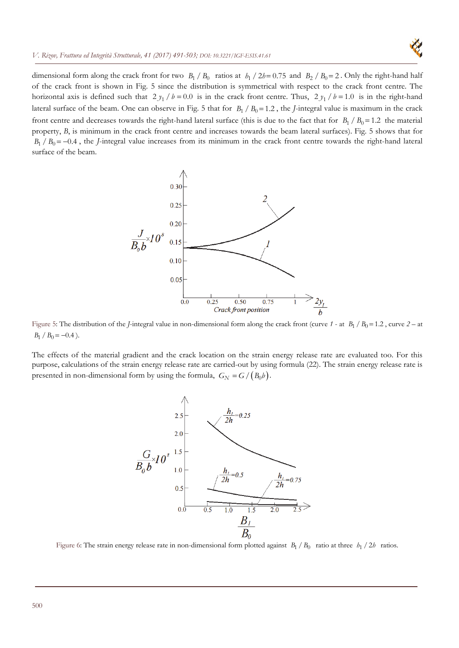

dimensional form along the crack front for two  $B_1 / B_0$  ratios at  $h_1 / 2h = 0.75$  and  $B_2 / B_0 = 2$ . Only the right-hand half of the crack front is shown in Fig. 5 since the distribution is symmetrical with respect to the crack front centre. The horizontal axis is defined such that  $2 y_1 / b = 0.0$  is in the crack front centre. Thus,  $2 y_1 / b = 1.0$  is in the right-hand lateral surface of the beam. One can observe in Fig. 5 that for  $B_1 / B_0 = 1.2$ , the *J*-integral value is maximum in the crack front centre and decreases towards the right-hand lateral surface (this is due to the fact that for  $B_1/B_0 = 1.2$  the material property, *B*, is minimum in the crack front centre and increases towards the beam lateral surfaces). Fig. 5 shows that for  $B_1 / B_0 = -0.4$ , the *J*-integral value increases from its minimum in the crack front centre towards the right-hand lateral surface of the beam.



Figure 5: The distribution of the *J*-integral value in non-dimensional form along the crack front (curve  $1$  - at  $B_1 / B_0 = 1.2$ , curve  $2 - at$  $B_1 / B_0 = -0.4$ .

The effects of the material gradient and the crack location on the strain energy release rate are evaluated too. For this purpose, calculations of the strain energy release rate are carried-out by using formula (22). The strain energy release rate is presented in non-dimensional form by using the formula,  $G_N = G/(B_0 b)$ .



Figure 6: The strain energy release rate in non-dimensional form plotted against  $B_1/B_0$  ratio at three  $h_1/2h$  ratios.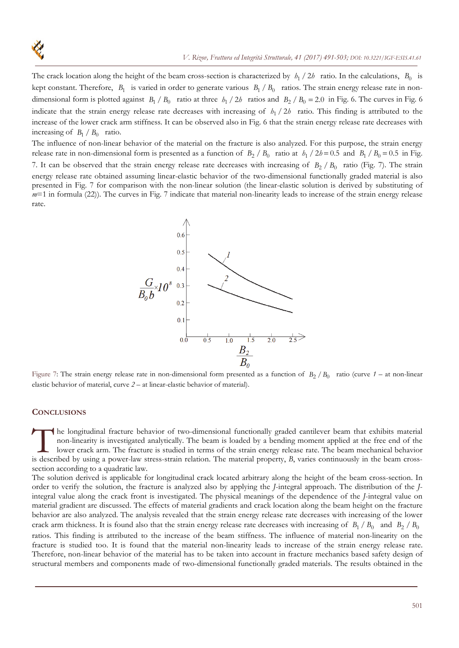The crack location along the height of the beam cross-section is characterized by  $h_1/2h$  ratio. In the calculations,  $B_0$  is kept constant. Therefore,  $B_1$  is varied in order to generate various  $B_1/B_0$  ratios. The strain energy release rate in nondimensional form is plotted against  $B_1 / B_0$  ratio at three  $h_1 / 2h$  ratios and  $B_2 / B_0 = 2.0$  in Fig. 6. The curves in Fig. 6. indicate that the strain energy release rate decreases with increasing of  $h_1/2h$  ratio. This finding is attributed to the increase of the lower crack arm stiffness. It can be observed also in Fig. 6 that the strain energy release rate decreases with increasing of  $B_1 / B_0$  ratio.

The influence of non-linear behavior of the material on the fracture is also analyzed. For this purpose, the strain energy release rate in non-dimensional form is presented as a function of  $B_2/B_0$  ratio at  $h_1/2h = 0.5$  and  $B_1/B_0 = 0.5$  in Fig. 7. It can be observed that the strain energy release rate decreases with increasing of  $B_2/B_0$  ratio (Fig. 7). The strain energy release rate obtained assuming linear-elastic behavior of the two-dimensional functionally graded material is also presented in Fig. 7 for comparison with the non-linear solution (the linear-elastic solution is derived by substituting of *m*=1 in formula (22)). The curves in Fig. 7 indicate that material non-linearity leads to increase of the strain energy release rate.



Figure 7: The strain energy release rate in non-dimensional form presented as a function of  $B_2/B_0$  ratio (curve  $1-$  at non-linear elastic behavior of material, curve *2* – at linear-elastic behavior of material).

### **CONCLUSIONS**

he longitudinal fracture behavior of two-dimensional functionally graded cantilever beam that exhibits material non-linearity is investigated analytically. The beam is loaded by a bending moment applied at the free end of the lower crack arm. The fracture is studied in terms of the strain energy release rate. The beam mechanical behavior In the longitudinal fracture behavior of two-dimensional functionally graded cantilever beam that exhibits material non-linearity is investigated analytically. The beam is loaded by a bending moment applied at the free end section according to a quadratic law.

The solution derived is applicable for longitudinal crack located arbitrary along the height of the beam cross-section. In order to verify the solution, the fracture is analyzed also by applying the *J*-integral approach. The distribution of the *J*integral value along the crack front is investigated. The physical meanings of the dependence of the *J*-integral value on material gradient are discussed. The effects of material gradients and crack location along the beam height on the fracture behavior are also analyzed. The analysis revealed that the strain energy release rate decreases with increasing of the lower crack arm thickness. It is found also that the strain energy release rate decreases with increasing of  $B_1/B_0$  and  $B_2/B_0$ ratios. This finding is attributed to the increase of the beam stiffness. The influence of material non-linearity on the fracture is studied too. It is found that the material non-linearity leads to increase of the strain energy release rate. Therefore, non-linear behavior of the material has to be taken into account in fracture mechanics based safety design of structural members and components made of two-dimensional functionally graded materials. The results obtained in the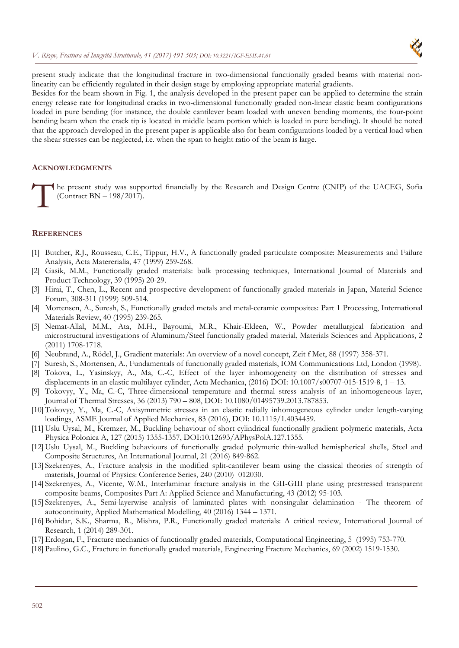

present study indicate that the longitudinal fracture in two-dimensional functionally graded beams with material nonlinearity can be efficiently regulated in their design stage by employing appropriate material gradients.

Besides for the beam shown in Fig. 1, the analysis developed in the present paper can be applied to determine the strain energy release rate for longitudinal cracks in two-dimensional functionally graded non-linear elastic beam configurations loaded in pure bending (for instance, the double cantilever beam loaded with uneven bending moments, the four-point bending beam when the crack tip is located in middle beam portion which is loaded in pure bending). It should be noted that the approach developed in the present paper is applicable also for beam configurations loaded by a vertical load when the shear stresses can be neglected, i.e. when the span to height ratio of the beam is large.

## **ACKNOWLEDGMENTS**

he present study was supported financially by the Research and Design Centre (CNIP) of the UACEG, Sofia (Contract BN – 198/2017).  $\int_{0}^{\infty}$ 

### **REFERENCES**

- [1] Butcher, R.J., Rousseau, C.E., Tippur, H.V., A functionally graded particulate composite: Measurements and Failure Analysis, Acta Matererialia, 47 (1999) 259-268.
- [2] Gasik, M.M., Functionally graded materials: bulk processing techniques, International Journal of Materials and Product Technology, 39 (1995) 20-29.
- [3] Hirai, T., Chen, L., Recent and prospective development of functionally graded materials in Japan, Material Science Forum, 308-311 (1999) 509-514.
- [4] Mortensen, A., Suresh, S., Functionally graded metals and metal-ceramic composites: Part 1 Processing, International Materials Review, 40 (1995) 239-265.
- [5] Nemat-Allal, M.M., Ata, M.H., Bayoumi, M.R., Khair-Eldeen, W., Powder metallurgical fabrication and microstructural investigations of Aluminum/Steel functionally graded material, Materials Sciences and Applications, 2 (2011) 1708-1718.
- [6] Neubrand, A., Rödel, J., Gradient materials: An overview of a novel concept, Zeit f Met, 88 (1997) 358-371.
- [7] Suresh, S., Mortensen, A., Fundamentals of functionally graded materials, IOM Communications Ltd, London (1998).
- [8] Tokova, L., Yasinskyy, A., Ma, C.-C, Effect of the layer inhomogeneity on the distribution of stresses and displacements in an elastic multilayer cylinder, Acta Mechanica, (2016) DOI: 10.1007/s00707-015-1519-8, 1 – 13.
- [9] Tokovyy, Y., Ma, C.-C, Three-dimensional temperature and thermal stress analysis of an inhomogeneous layer, Journal of Thermal Stresses, 36 (2013) 790 – 808, DOI: 10.1080/01495739.2013.787853.
- [10] Tokovyy, Y., Ma, C.-C, Axisymmetric stresses in an elastic radially inhomogeneous cylinder under length-varying loadings, ASME Journal of Applied Mechanics, 83 (2016), DOI: 10.1115/1.4034459.
- [11] Uslu Uysal, M., Kremzer, M., Buckling behaviour of short cylindrical functionally gradient polymeric materials, Acta Physica Polonica A, 127 (2015) 1355-1357, DOI:10.12693/APhysPolA.127.1355.
- [12] Uslu Uysal, M., Buckling behaviours of functionally graded polymeric thin-walled hemispherical shells, Steel and Composite Structures, An International Journal, 21 (2016) 849-862.
- [13] Szekrenyes, A., Fracture analysis in the modified split-cantilever beam using the classical theories of strength of materials, Journal of Physics: Conference Series, 240 (2010) 012030.
- [14] Szekrenyes, A., Vicente, W.M., Interlaminar fracture analysis in the GII-GIII plane using prestressed transparent composite beams, Composites Part A: Applied Science and Manufacturing, 43 (2012) 95-103.
- [15] Szekrenyes, A., Semi-layerwise analysis of laminated plates with nonsingular delamination The theorem of autocontinuity, Applied Mathematical Modelling, 40 (2016) 1344 – 1371.
- [16] Bohidar, S.K., Sharma, R., Mishra, P.R., Functionally graded materials: A critical review, International Journal of Research, 1 (2014) 289-301.
- [17]Erdogan, F., Fracture mechanics of functionally graded materials, Computational Engineering, 5 (1995) 753-770.
- [18] Paulino, G.C., Fracture in functionally graded materials, Engineering Fracture Mechanics, 69 (2002) 1519-1530.